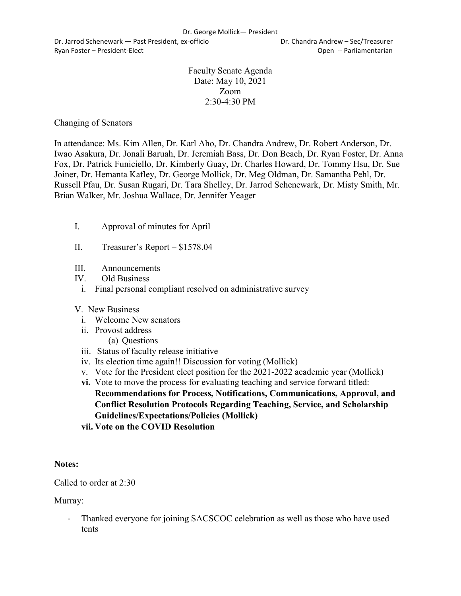Dr. Jarrod Schenewark — Past President, ex-officio Dr. Chandra Andrew – Sec/Treasurer Ryan Foster – President-Elect Controller Controller Controller Controller Controller Controller Controller Controller Controller Controller Controller Controller Controller Controller Controller Controller Controller Contr

Faculty Senate Agenda Date: May 10, 2021 Zoom 2:30-4:30 PM

Changing of Senators

In attendance: Ms. Kim Allen, Dr. Karl Aho, Dr. Chandra Andrew, Dr. Robert Anderson, Dr. Iwao Asakura, Dr. Jonali Baruah, Dr. Jeremiah Bass, Dr. Don Beach, Dr. Ryan Foster, Dr. Anna Fox, Dr. Patrick Funiciello, Dr. Kimberly Guay, Dr. Charles Howard, Dr. Tommy Hsu, Dr. Sue Joiner, Dr. Hemanta Kafley, Dr. George Mollick, Dr. Meg Oldman, Dr. Samantha Pehl, Dr. Russell Pfau, Dr. Susan Rugari, Dr. Tara Shelley, Dr. Jarrod Schenewark, Dr. Misty Smith, Mr. Brian Walker, Mr. Joshua Wallace, Dr. Jennifer Yeager

- I. Approval of minutes for April
- II. Treasurer's Report \$1578.04
- III. Announcements
- IV. Old Business
- i. Final personal compliant resolved on administrative survey
- V. New Business
	- i. Welcome New senators
	- ii. Provost address
		- (a) Questions
	- iii. Status of faculty release initiative
	- iv. Its election time again!! Discussion for voting (Mollick)
	- v. Vote for the President elect position for the 2021-2022 academic year (Mollick)
	- **vi.** Vote to move the process for evaluating teaching and service forward titled: **Recommendations for Process, Notifications, Communications, Approval, and Conflict Resolution Protocols Regarding Teaching, Service, and Scholarship Guidelines/Expectations/Policies (Mollick)**
	- **vii. Vote on the COVID Resolution**

### **Notes:**

Called to order at 2:30

Murray:

- Thanked everyone for joining SACSCOC celebration as well as those who have used tents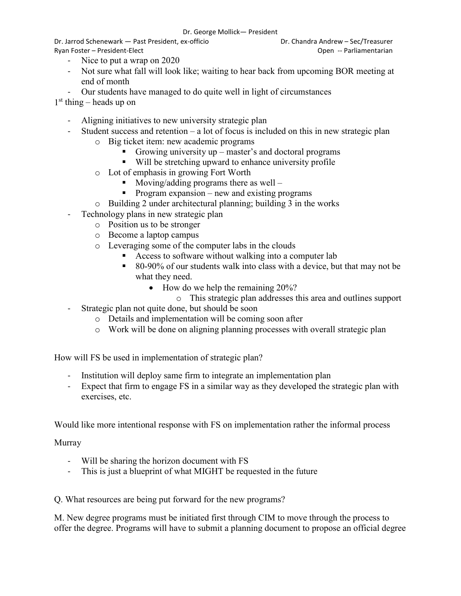Dr. Jarrod Schenewark — Past President, ex-officio Dr. Chandra Andrew – Sec/Treasurer Ryan Foster – President-Elect Controller Controller Controller Controller Controller Controller Controller Controller Controller Controller Controller Controller Controller Controller Controller Controller Controller Contr

- Nice to put a wrap on 2020
- Not sure what fall will look like; waiting to hear back from upcoming BOR meeting at end of month
- Our students have managed to do quite well in light of circumstances

 $1<sup>st</sup>$  thing – heads up on

- Aligning initiatives to new university strategic plan
- Student success and retention a lot of focus is included on this in new strategic plan
	- o Big ticket item: new academic programs
		- Growing university  $up$  master's and doctoral programs
		- Will be stretching upward to enhance university profile
	- o Lot of emphasis in growing Fort Worth
		- $\blacksquare$  Moving/adding programs there as well –
		- Program expansion new and existing programs
	- o Building 2 under architectural planning; building 3 in the works
- Technology plans in new strategic plan
	- o Position us to be stronger
	- o Become a laptop campus
	- o Leveraging some of the computer labs in the clouds
		- Access to software without walking into a computer lab
		- 80-90% of our students walk into class with a device, but that may not be what they need.
			- How do we help the remaining 20%?
				- o This strategic plan addresses this area and outlines support
- Strategic plan not quite done, but should be soon
	- o Details and implementation will be coming soon after
	- o Work will be done on aligning planning processes with overall strategic plan

How will FS be used in implementation of strategic plan?

- Institution will deploy same firm to integrate an implementation plan
- Expect that firm to engage FS in a similar way as they developed the strategic plan with exercises, etc.

Would like more intentional response with FS on implementation rather the informal process

Murray

- Will be sharing the horizon document with FS
- This is just a blueprint of what MIGHT be requested in the future

Q. What resources are being put forward for the new programs?

M. New degree programs must be initiated first through CIM to move through the process to offer the degree. Programs will have to submit a planning document to propose an official degree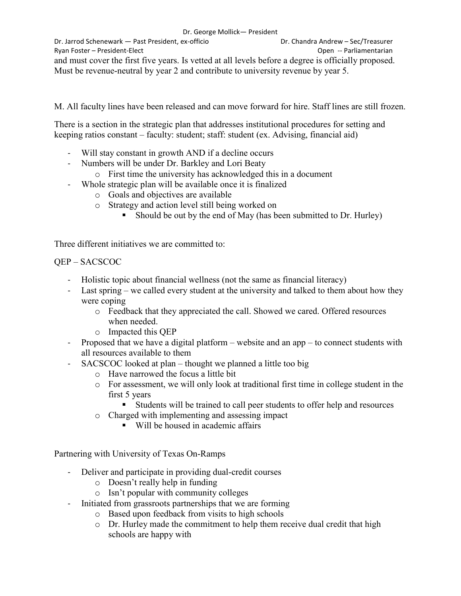Dr. Jarrod Schenewark — Past President, ex-officio Dr. Chandra Andrew – Sec/Treasurer Ryan Foster – President-Elect Controller Controller Controller Controller Controller Controller Controller Controller Controller Controller Controller Controller Controller Controller Controller Controller Controller Contr and must cover the first five years. Is vetted at all levels before a degree is officially proposed. Must be revenue-neutral by year 2 and contribute to university revenue by year 5.

M. All faculty lines have been released and can move forward for hire. Staff lines are still frozen.

There is a section in the strategic plan that addresses institutional procedures for setting and keeping ratios constant – faculty: student; staff: student (ex. Advising, financial aid)

- Will stay constant in growth AND if a decline occurs
- Numbers will be under Dr. Barkley and Lori Beaty
	- o First time the university has acknowledged this in a document
- Whole strategic plan will be available once it is finalized
	- o Goals and objectives are available
	- o Strategy and action level still being worked on
		- Should be out by the end of May (has been submitted to Dr. Hurley)

Three different initiatives we are committed to:

## QEP – SACSCOC

- Holistic topic about financial wellness (not the same as financial literacy)
- Last spring we called every student at the university and talked to them about how they were coping
	- o Feedback that they appreciated the call. Showed we cared. Offered resources when needed.
	- o Impacted this QEP
- Proposed that we have a digital platform website and an app to connect students with all resources available to them
- SACSCOC looked at plan thought we planned a little too big
	- o Have narrowed the focus a little bit
	- o For assessment, we will only look at traditional first time in college student in the first 5 years
		- Students will be trained to call peer students to offer help and resources
	- o Charged with implementing and assessing impact
		- Will be housed in academic affairs

Partnering with University of Texas On-Ramps

- Deliver and participate in providing dual-credit courses
	- o Doesn't really help in funding
	- o Isn't popular with community colleges
- Initiated from grassroots partnerships that we are forming
	- o Based upon feedback from visits to high schools
	- o Dr. Hurley made the commitment to help them receive dual credit that high schools are happy with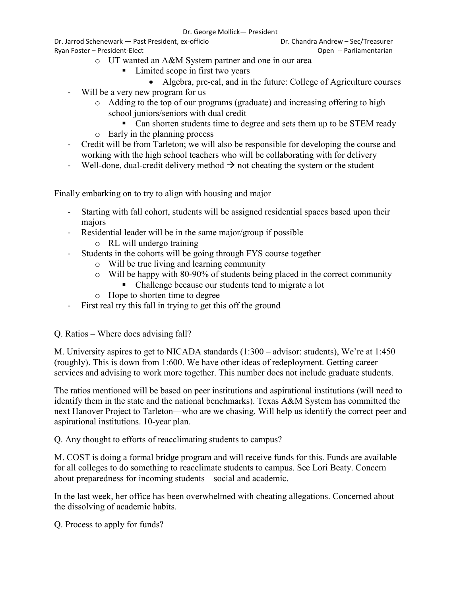Dr. Jarrod Schenewark — Past President, ex-officio Dr. Chandra Andrew – Sec/Treasurer Ryan Foster – President-Elect Controller Controller Controller Controller Controller Controller Controller Controller Controller Controller Controller Controller Controller Controller Controller Controller Controller Contr

o UT wanted an A&M System partner and one in our area

- Limited scope in first two years
	- Algebra, pre-cal, and in the future: College of Agriculture courses
- Will be a very new program for us
	- o Adding to the top of our programs (graduate) and increasing offering to high school juniors/seniors with dual credit
	- Can shorten students time to degree and sets them up to be STEM ready o Early in the planning process
- Credit will be from Tarleton; we will also be responsible for developing the course and working with the high school teachers who will be collaborating with for delivery
- Well-done, dual-credit delivery method  $\rightarrow$  not cheating the system or the student

Finally embarking on to try to align with housing and major

- Starting with fall cohort, students will be assigned residential spaces based upon their majors
- Residential leader will be in the same major/group if possible
	- o RL will undergo training
- Students in the cohorts will be going through FYS course together
	- o Will be true living and learning community
	- $\circ$  Will be happy with 80-90% of students being placed in the correct community
		- Challenge because our students tend to migrate a lot
	- o Hope to shorten time to degree
- First real try this fall in trying to get this off the ground
- Q. Ratios Where does advising fall?

M. University aspires to get to NICADA standards (1:300 – advisor: students), We're at 1:450 (roughly). This is down from 1:600. We have other ideas of redeployment. Getting career services and advising to work more together. This number does not include graduate students.

The ratios mentioned will be based on peer institutions and aspirational institutions (will need to identify them in the state and the national benchmarks). Texas A&M System has committed the next Hanover Project to Tarleton—who are we chasing. Will help us identify the correct peer and aspirational institutions. 10-year plan.

Q. Any thought to efforts of reacclimating students to campus?

M. COST is doing a formal bridge program and will receive funds for this. Funds are available for all colleges to do something to reacclimate students to campus. See Lori Beaty. Concern about preparedness for incoming students—social and academic.

In the last week, her office has been overwhelmed with cheating allegations. Concerned about the dissolving of academic habits.

Q. Process to apply for funds?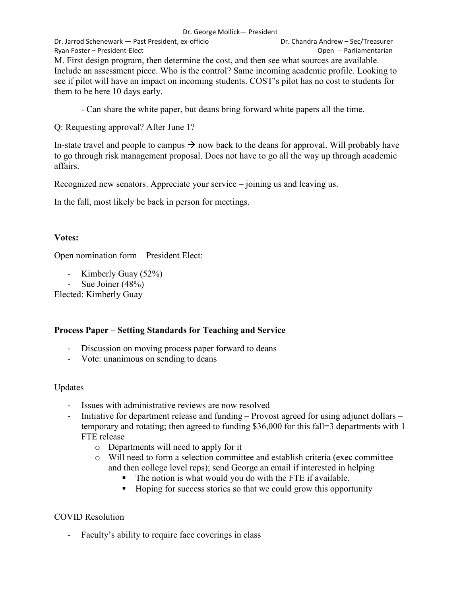#### Dr. George Mollick— President

Dr. Jarrod Schenewark — Past President, ex-officio Dr. Chandra Andrew – Sec/Treasurer Ryan Foster – President-Elect **Contract Contract Contract Open --** Parliamentarian M. First design program, then determine the cost, and then see what sources are available. Include an assessment piece. Who is the control? Same incoming academic profile. Looking to see if pilot will have an impact on incoming students. COST's pilot has no cost to students for them to be here 10 days early.

- Can share the white paper, but deans bring forward white papers all the time.

Q: Requesting approval? After June 1?

In-state travel and people to campus  $\rightarrow$  now back to the deans for approval. Will probably have to go through risk management proposal. Does not have to go all the way up through academic affairs.

Recognized new senators. Appreciate your service – joining us and leaving us.

In the fall, most likely be back in person for meetings.

## **Votes:**

Open nomination form – President Elect:

- Kimberly Guay (52%)
- Sue Joiner (48%)

Elected: Kimberly Guay

# **Process Paper – Setting Standards for Teaching and Service**

- Discussion on moving process paper forward to deans
- Vote: unanimous on sending to deans

### Updates

- Issues with administrative reviews are now resolved
- Initiative for department release and funding Provost agreed for using adjunct dollars temporary and rotating; then agreed to funding \$36,000 for this fall=3 departments with 1 FTE release
	- o Departments will need to apply for it
	- o Will need to form a selection committee and establish criteria (exec committee and then college level reps); send George an email if interested in helping
		- The notion is what would you do with the FTE if available.
		- Hoping for success stories so that we could grow this opportunity

# COVID Resolution

- Faculty's ability to require face coverings in class